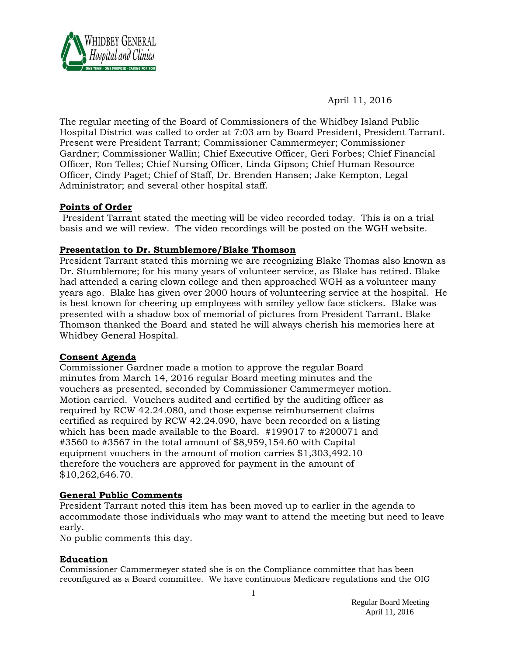

April 11, 2016

The regular meeting of the Board of Commissioners of the Whidbey Island Public Hospital District was called to order at 7:03 am by Board President, President Tarrant. Present were President Tarrant; Commissioner Cammermeyer; Commissioner Gardner; Commissioner Wallin; Chief Executive Officer, Geri Forbes; Chief Financial Officer, Ron Telles; Chief Nursing Officer, Linda Gipson; Chief Human Resource Officer, Cindy Paget; Chief of Staff, Dr. Brenden Hansen; Jake Kempton, Legal Administrator; and several other hospital staff.

### **Points of Order**

President Tarrant stated the meeting will be video recorded today. This is on a trial basis and we will review. The video recordings will be posted on the WGH website.

#### **Presentation to Dr. Stumblemore/Blake Thomson**

President Tarrant stated this morning we are recognizing Blake Thomas also known as Dr. Stumblemore; for his many years of volunteer service, as Blake has retired. Blake had attended a caring clown college and then approached WGH as a volunteer many years ago. Blake has given over 2000 hours of volunteering service at the hospital. He is best known for cheering up employees with smiley yellow face stickers. Blake was presented with a shadow box of memorial of pictures from President Tarrant. Blake Thomson thanked the Board and stated he will always cherish his memories here at Whidbey General Hospital.

### **Consent Agenda**

Commissioner Gardner made a motion to approve the regular Board minutes from March 14, 2016 regular Board meeting minutes and the vouchers as presented, seconded by Commissioner Cammermeyer motion. Motion carried. Vouchers audited and certified by the auditing officer as required by RCW 42.24.080, and those expense reimbursement claims certified as required by RCW 42.24.090, have been recorded on a listing which has been made available to the Board. #199017 to #200071 and #3560 to #3567 in the total amount of \$8,959,154.60 with Capital equipment vouchers in the amount of motion carries \$1,303,492.10 therefore the vouchers are approved for payment in the amount of \$10,262,646.70.

### **General Public Comments**

President Tarrant noted this item has been moved up to earlier in the agenda to accommodate those individuals who may want to attend the meeting but need to leave early.

No public comments this day.

#### **Education**

Commissioner Cammermeyer stated she is on the Compliance committee that has been reconfigured as a Board committee. We have continuous Medicare regulations and the OIG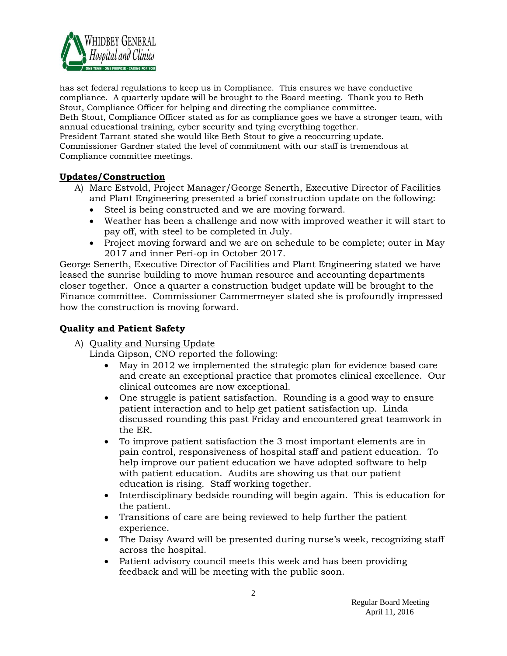

has set federal regulations to keep us in Compliance. This ensures we have conductive compliance. A quarterly update will be brought to the Board meeting. Thank you to Beth Stout, Compliance Officer for helping and directing the compliance committee. Beth Stout, Compliance Officer stated as for as compliance goes we have a stronger team, with annual educational training, cyber security and tying everything together. President Tarrant stated she would like Beth Stout to give a reoccurring update. Commissioner Gardner stated the level of commitment with our staff is tremendous at Compliance committee meetings.

### **Updates/Construction**

- A) Marc Estvold, Project Manager/George Senerth, Executive Director of Facilities and Plant Engineering presented a brief construction update on the following:
	- Steel is being constructed and we are moving forward.
	- Weather has been a challenge and now with improved weather it will start to pay off, with steel to be completed in July.
	- Project moving forward and we are on schedule to be complete; outer in May 2017 and inner Peri-op in October 2017.

George Senerth, Executive Director of Facilities and Plant Engineering stated we have leased the sunrise building to move human resource and accounting departments closer together. Once a quarter a construction budget update will be brought to the Finance committee. Commissioner Cammermeyer stated she is profoundly impressed how the construction is moving forward.

# **Quality and Patient Safety**

# A) Quality and Nursing Update

Linda Gipson, CNO reported the following:

- May in 2012 we implemented the strategic plan for evidence based care and create an exceptional practice that promotes clinical excellence. Our clinical outcomes are now exceptional.
- One struggle is patient satisfaction. Rounding is a good way to ensure patient interaction and to help get patient satisfaction up. Linda discussed rounding this past Friday and encountered great teamwork in the ER.
- To improve patient satisfaction the 3 most important elements are in pain control, responsiveness of hospital staff and patient education. To help improve our patient education we have adopted software to help with patient education. Audits are showing us that our patient education is rising. Staff working together.
- Interdisciplinary bedside rounding will begin again. This is education for the patient.
- Transitions of care are being reviewed to help further the patient experience.
- The Daisy Award will be presented during nurse's week, recognizing staff across the hospital.
- Patient advisory council meets this week and has been providing feedback and will be meeting with the public soon.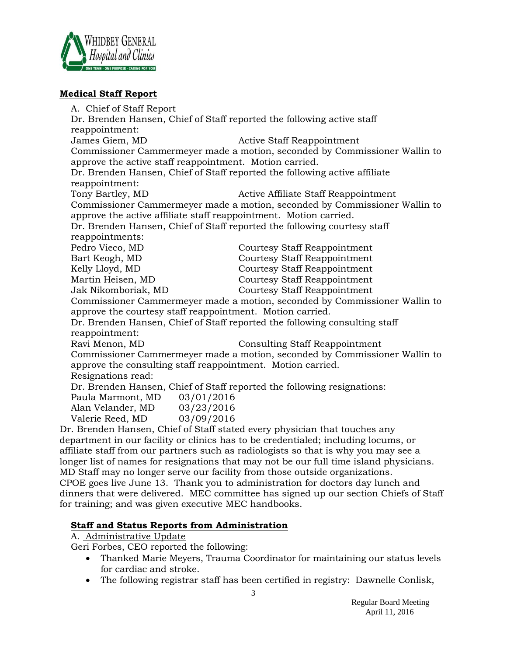

#### **Medical Staff Report**

A. Chief of Staff Report Dr. Brenden Hansen, Chief of Staff reported the following active staff reappointment: James Giem, MD Active Staff Reappointment Commissioner Cammermeyer made a motion, seconded by Commissioner Wallin to approve the active staff reappointment. Motion carried. Dr. Brenden Hansen, Chief of Staff reported the following active affiliate reappointment: Tony Bartley, MD **Active Affiliate Staff Reappointment** Commissioner Cammermeyer made a motion, seconded by Commissioner Wallin to approve the active affiliate staff reappointment. Motion carried. Dr. Brenden Hansen, Chief of Staff reported the following courtesy staff reappointments: Pedro Vieco, MD Courtesy Staff Reappointment Bart Keogh, MD Courtesy Staff Reappointment Kelly Lloyd, MD Courtesy Staff Reappointment Martin Heisen, MD Courtesy Staff Reappointment Jak Nikomboriak, MD Courtesy Staff Reappointment Commissioner Cammermeyer made a motion, seconded by Commissioner Wallin to approve the courtesy staff reappointment. Motion carried. Dr. Brenden Hansen, Chief of Staff reported the following consulting staff reappointment: Ravi Menon, MD Consulting Staff Reappointment Commissioner Cammermeyer made a motion, seconded by Commissioner Wallin to approve the consulting staff reappointment. Motion carried. Resignations read: Dr. Brenden Hansen, Chief of Staff reported the following resignations: Paula Marmont, MD 03/01/2016 Alan Velander, MD 03/23/2016 Valerie Reed, MD 03/09/2016 Dr. Brenden Hansen, Chief of Staff stated every physician that touches any

department in our facility or clinics has to be credentialed; including locums, or affiliate staff from our partners such as radiologists so that is why you may see a longer list of names for resignations that may not be our full time island physicians. MD Staff may no longer serve our facility from those outside organizations. CPOE goes live June 13. Thank you to administration for doctors day lunch and dinners that were delivered. MEC committee has signed up our section Chiefs of Staff for training; and was given executive MEC handbooks.

### **Staff and Status Reports from Administration**

A. Administrative Update

Geri Forbes, CEO reported the following:

- Thanked Marie Meyers, Trauma Coordinator for maintaining our status levels for cardiac and stroke.
- The following registrar staff has been certified in registry: Dawnelle Conlisk,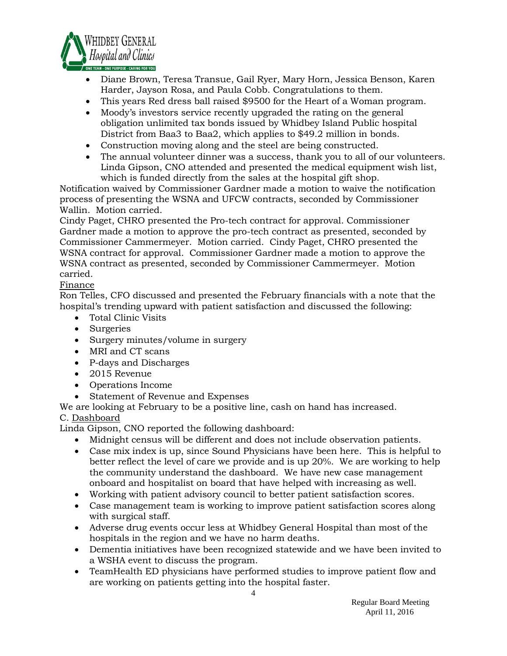

- Diane Brown, Teresa Transue, Gail Ryer, Mary Horn, Jessica Benson, Karen Harder, Jayson Rosa, and Paula Cobb. Congratulations to them.
- This years Red dress ball raised \$9500 for the Heart of a Woman program.
- Moody's investors service recently upgraded the rating on the general obligation unlimited tax bonds issued by Whidbey Island Public hospital District from Baa3 to Baa2, which applies to \$49.2 million in bonds.
- Construction moving along and the steel are being constructed.
- The annual volunteer dinner was a success, thank you to all of our volunteers. Linda Gipson, CNO attended and presented the medical equipment wish list, which is funded directly from the sales at the hospital gift shop.

Notification waived by Commissioner Gardner made a motion to waive the notification process of presenting the WSNA and UFCW contracts, seconded by Commissioner Wallin. Motion carried.

Cindy Paget, CHRO presented the Pro-tech contract for approval. Commissioner Gardner made a motion to approve the pro-tech contract as presented, seconded by Commissioner Cammermeyer. Motion carried. Cindy Paget, CHRO presented the WSNA contract for approval. Commissioner Gardner made a motion to approve the WSNA contract as presented, seconded by Commissioner Cammermeyer. Motion carried.

### Finance

Ron Telles, CFO discussed and presented the February financials with a note that the hospital's trending upward with patient satisfaction and discussed the following:

- Total Clinic Visits
- Surgeries
- Surgery minutes/volume in surgery
- MRI and CT scans
- P-days and Discharges
- 2015 Revenue
- Operations Income
- Statement of Revenue and Expenses

We are looking at February to be a positive line, cash on hand has increased.

### C. Dashboard

Linda Gipson, CNO reported the following dashboard:

- Midnight census will be different and does not include observation patients.
- Case mix index is up, since Sound Physicians have been here. This is helpful to better reflect the level of care we provide and is up 20%. We are working to help the community understand the dashboard. We have new case management onboard and hospitalist on board that have helped with increasing as well.
- Working with patient advisory council to better patient satisfaction scores.
- Case management team is working to improve patient satisfaction scores along with surgical staff.
- Adverse drug events occur less at Whidbey General Hospital than most of the hospitals in the region and we have no harm deaths.
- Dementia initiatives have been recognized statewide and we have been invited to a WSHA event to discuss the program.
- TeamHealth ED physicians have performed studies to improve patient flow and are working on patients getting into the hospital faster.